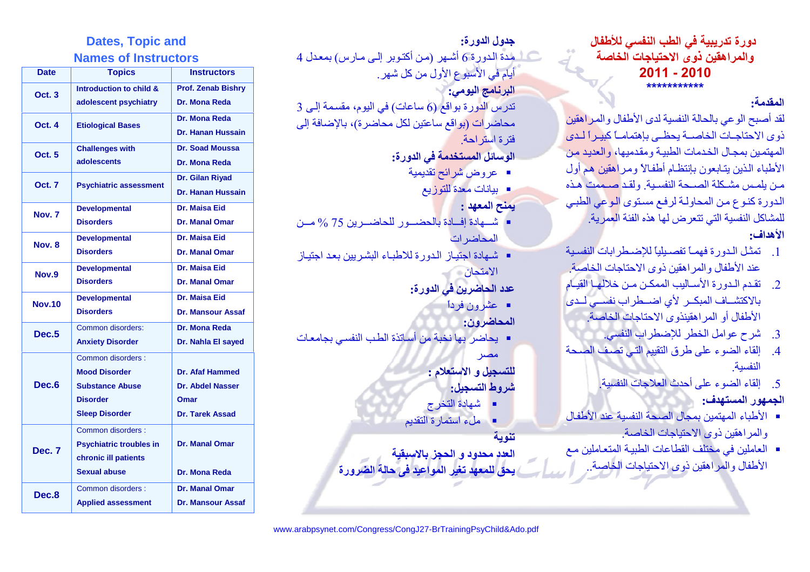# دورة تدريبية في الطب النفسي للأطفال والمراهقين ذوى الاحتياجات الخاصة  $2011 - 2010$

## المقدمة·

لقد أصبح الوعي بالحالة النفسية لدى الأطفال والمراهقين ذوى الاحتاجـات الخاصــة بحظــى بإهتمامــاً كبيـر اً لـدى المهتمين بمجال الخدمات الطبية ومقدميها، والعديد من الأطباء الذين يتابعون بإنتظام أطفالا ومراهقين هم أول من يلمس مشكلة الصحة النفسية. ولقد صممت هذه الدور ة كنوع من المحاولة لرفع مستوى الوعى الطبي للمشاكل النفسية التي تتعر ض لها هذه الفئة العمر ية ا

## الأهداف:

- 1 [[[المفتل الدور: فهمـاً تفصيلياً للاضبطر ابات النفسية عند الأطفال و المر اهقبن ذو ي الاحتاجات الخاصة
- 2. تقدم الدورة الأساليب الممكن من خلالها القيام بالاكتشاف المبكر لأي اضبطراب نفسي لدى الأطفال أو المر اهقبنذوي الاحتاجات الخاصية
	- 3. شرح عوامل الخطر للإضطراب النفسي.
- 4. إلقاء الضوء على طرق التقييم التي تصف الصحة النفسية
	- إلقاء الضوء على أحدث العلاجات النفسبة  $\sqrt{5}$

### الجمهور المستهدف:

- الأطباء المهتمين بمجال الصحة النفسية عند الأطفال و المر اهقين ذو ي الاحتياجات الخاصة.
- العاملين في مختلف القطاعات الطبيـة المتعـاملين مـع الأطفال والمر اهقين ذوى الاحتياجات الخاصة

# جدو ل الدور ة:

- ے المدۃ الدور ۃ 6 أشبھر (من أكتوبر إلى مارس) بمعدل 4 أيام في الأسبوع الأول من كل شهر . البرنامج اليومي:
- $3$  تدرس الدورة بواقع (6 ساعات) في اليوم، مقسمة إلى محاضرات (بواقع ساعتين لكل محاضرة)، بالإضافة إلى فترة استر احة
	- الوسائل المستخدمة في الدورة:
		- عروض شرائح تقديمية
			- بيانات معدة للتوزيع
				- يمنح المعهد :
- شيهادة إفسادة بالحضيور للحاضير بن 75 % مين المحاضر ات
- شهادة اجتبـاز الدورة للاطبـاء البشريين بعد اجتيـاز الامتحان ا
	- عدد الحاضرين في الدورة:
		- عِشْرون فرداً
			- المحاضر ون:
- يحاضر بها نخبة من أساتذة الطب النفسي بجامعات
	- مصر للتسجيل و الاستعلام :
	- شر وط التسجيل:
	- شهادة التخرج
	- ملء استمارة التقديم
	- تنو ية
	- العدد محدود و الحجل بالاسبقية
	- يحق للمعهد تغير المواعيد في حالة الضرورة

# **Dates, Topic and Names of Instructors**

| <b>Date</b>       | <b>Topics</b>                  | <b>Instructors</b>        |
|-------------------|--------------------------------|---------------------------|
| <b>Oct. 3</b>     | Introduction to child &        | <b>Prof. Zenab Bishry</b> |
|                   | adolescent psychiatry          | Dr. Mona Reda             |
| Oct. 4            | <b>Etiological Bases</b>       | Dr. Mona Reda             |
|                   |                                | <b>Dr. Hanan Hussain</b>  |
| <b>Oct. 5</b>     | <b>Challenges with</b>         | Dr. Soad Moussa           |
|                   | adolescents                    | Dr. Mona Reda             |
| <b>Oct. 7</b>     | <b>Psychiatric assessment</b>  | Dr. Gilan Riyad           |
|                   |                                | <b>Dr. Hanan Hussain</b>  |
| Nov. <sub>7</sub> | <b>Developmental</b>           | Dr. Maisa Eid             |
|                   | <b>Disorders</b>               | <b>Dr. Manal Omar</b>     |
| Nov. 8            | <b>Developmental</b>           | Dr. Maisa Eid             |
|                   | <b>Disorders</b>               | <b>Dr. Manal Omar</b>     |
| Nov.9             | <b>Developmental</b>           | Dr. Maisa Eid             |
|                   | <b>Disorders</b>               | <b>Dr. Manal Omar</b>     |
| <b>Nov.10</b>     | <b>Developmental</b>           | Dr. Maisa Eid             |
|                   | <b>Disorders</b>               | <b>Dr. Mansour Assaf</b>  |
| Dec.5             | Common disorders:              | Dr. Mona Reda             |
|                   | <b>Anxiety Disorder</b>        | Dr. Nahla El sayed        |
| Dec.6             | Common disorders :             |                           |
|                   | <b>Mood Disorder</b>           | Dr. Afaf Hammed           |
|                   | <b>Substance Abuse</b>         | <b>Dr. Abdel Nasser</b>   |
|                   | <b>Disorder</b>                | Omar                      |
|                   | <b>Sleep Disorder</b>          | <b>Dr. Tarek Assad</b>    |
| Dec. 7            | Common disorders:              |                           |
|                   | <b>Psychiatric troubles in</b> | <b>Dr. Manal Omar</b>     |
|                   | chronic ill patients           |                           |
|                   | <b>Sexual abuse</b>            | Dr. Mona Reda             |
| Dec.8             | Common disorders :             | <b>Dr. Manal Omar</b>     |
|                   | <b>Applied assessment</b>      | <b>Dr. Mansour Assaf</b>  |

www.arabpsynet.com/Congress/CongJ27-BrTrainingPsyChild&Ado.pdf